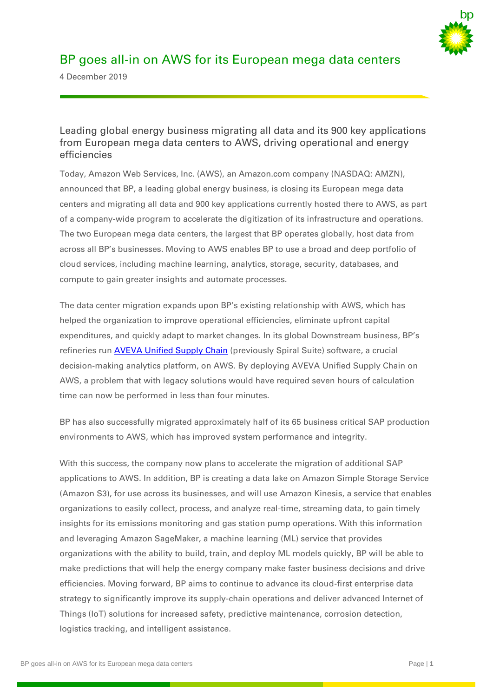

# BP goes all-in on AWS for its European mega data centers

4 December 2019

# Leading global energy business migrating all data and its 900 key applications from European mega data centers to AWS, driving operational and energy efficiencies

Today, Amazon Web Services, Inc. (AWS), an Amazon.com company (NASDAQ: AMZN), announced that BP, a leading global energy business, is closing its European mega data centers and migrating all data and 900 key applications currently hosted there to AWS, as part of a company-wide program to accelerate the digitization of its infrastructure and operations. The two European mega data centers, the largest that BP operates globally, host data from across all BP's businesses. Moving to AWS enables BP to use a broad and deep portfolio of cloud services, including machine learning, analytics, storage, security, databases, and compute to gain greater insights and automate processes.

The data center migration expands upon BP's existing relationship with AWS, which has helped the organization to improve operational efficiencies, eliminate upfront capital expenditures, and quickly adapt to market changes. In its global Downstream business, BP's refineries run [AVEVA Unified Supply Chain](https://sw.aveva.com/plan-and-schedule) (previously Spiral Suite) software, a crucial decision-making analytics platform, on AWS. By deploying AVEVA Unified Supply Chain on AWS, a problem that with legacy solutions would have required seven hours of calculation time can now be performed in less than four minutes.

BP has also successfully migrated approximately half of its 65 business critical SAP production environments to AWS, which has improved system performance and integrity.

With this success, the company now plans to accelerate the migration of additional SAP applications to AWS. In addition, BP is creating a data lake on Amazon Simple Storage Service (Amazon S3), for use across its businesses, and will use Amazon Kinesis, a service that enables organizations to easily collect, process, and analyze real-time, streaming data, to gain timely insights for its emissions monitoring and gas station pump operations. With this information and leveraging Amazon SageMaker, a machine learning (ML) service that provides organizations with the ability to build, train, and deploy ML models quickly, BP will be able to make predictions that will help the energy company make faster business decisions and drive efficiencies. Moving forward, BP aims to continue to advance its cloud-first enterprise data strategy to significantly improve its supply-chain operations and deliver advanced Internet of Things (IoT) solutions for increased safety, predictive maintenance, corrosion detection, logistics tracking, and intelligent assistance.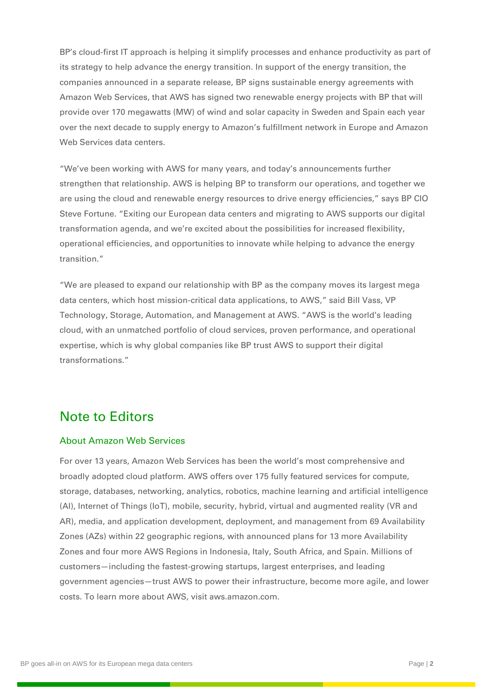BP's cloud-first IT approach is helping it simplify processes and enhance productivity as part of its strategy to help advance the energy transition. In support of the energy transition, the companies announced in a separate release, [BP signs sustainable energy agreements with](https://www.bp.com/en/global/corporate/news-and-insights/press-releases/bp-signs-sustainable-energy-agreements-with-amazon-web-services.html)  [Amazon Web Services,](https://www.bp.com/en/global/corporate/news-and-insights/press-releases/bp-signs-sustainable-energy-agreements-with-amazon-web-services.html) that AWS has signed two renewable energy projects with BP that will provide over 170 megawatts (MW) of wind and solar capacity in Sweden and Spain each year over the next decade to supply energy to Amazon's fulfillment network in Europe and Amazon Web Services data centers.

"We've been working with AWS for many years, and today's announcements further strengthen that relationship. AWS is helping BP to transform our operations, and together we are using the cloud and renewable energy resources to drive energy efficiencies," says BP CIO Steve Fortune. "Exiting our European data centers and migrating to AWS supports our digital transformation agenda, and we're excited about the possibilities for increased flexibility, operational efficiencies, and opportunities to innovate while helping to advance the energy transition."

"We are pleased to expand our relationship with BP as the company moves its largest mega data centers, which host mission-critical data applications, to AWS," said Bill Vass, VP Technology, Storage, Automation, and Management at AWS. "AWS is the world's leading cloud, with an unmatched portfolio of cloud services, proven performance, and operational expertise, which is why global companies like BP trust AWS to support their digital transformations."

# Note to Editors

#### About Amazon Web Services

For over 13 years, Amazon Web Services has been the world's most comprehensive and broadly adopted cloud platform. AWS offers over 175 fully featured services for compute, storage, databases, networking, analytics, robotics, machine learning and artificial intelligence (AI), Internet of Things (IoT), mobile, security, hybrid, virtual and augmented reality (VR and AR), media, and application development, deployment, and management from 69 Availability Zones (AZs) within 22 geographic regions, with announced plans for 13 more Availability Zones and four more AWS Regions in Indonesia, Italy, South Africa, and Spain. Millions of customers—including the fastest-growing startups, largest enterprises, and leading government agencies—trust AWS to power their infrastructure, become more agile, and lower costs. To learn more about AWS, visit aws.amazon.com.